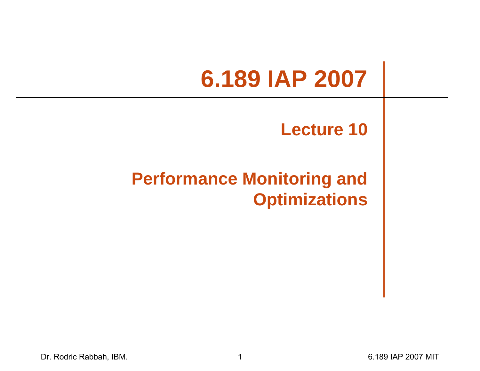# **6.189 IAP 2007**

#### **Lecture 10**

#### **Performance Monitoring and Optimizations**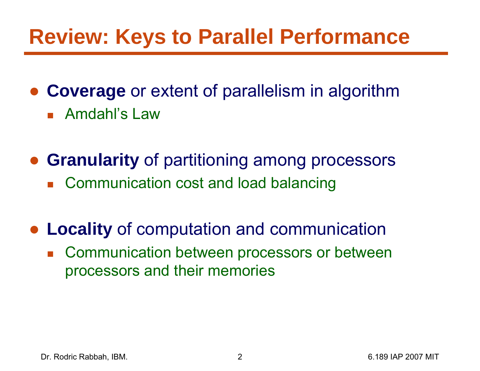# **Review: Keys to Parallel Performance**

● **Coverage** or extent of parallelism in algorithm

■ Amdahl's Law

● **Granularity** of partitioning among processors

■ Communication cost and load balancing

● **Locality** of computation and communication

**Communication between processors or between** processors and their memories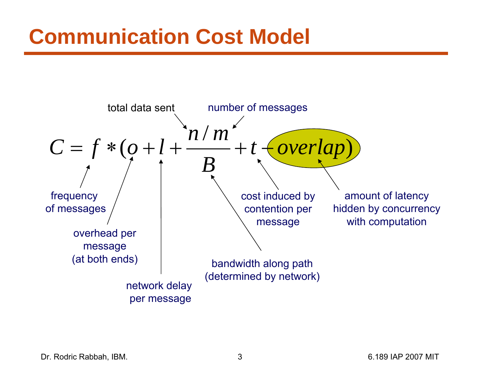# **Communication Cost Model**



Dr. Rodric Rabbah, IBM. 3 6.189 IAP 2007 MIT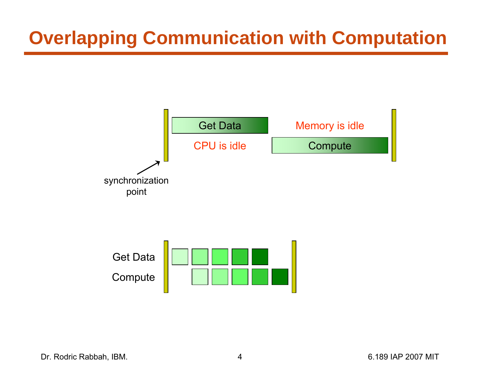## **Overlapping Communication with Computation**





Dr. Rodric Rabbah, IBM. (a) 1898 1892 1898 1892 1898 1892 1898 1894 1898 1894 1898 1894 1898 1899 1892 1899 18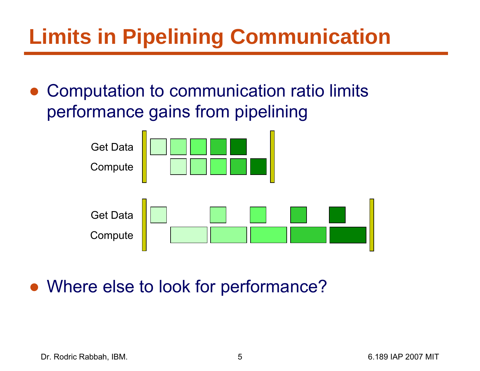# **Limits in Pipelining Communication**

● Computation to communication ratio limits performance gains from pipelining



• Where else to look for performance?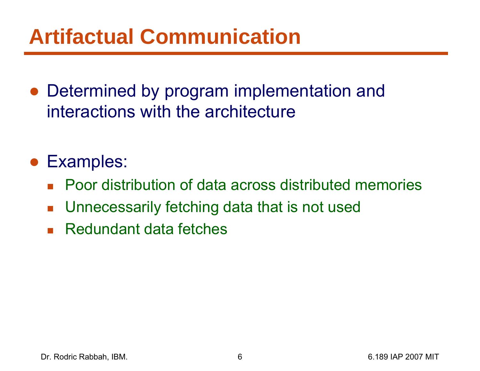# **Artifactual Communication**

• Determined by program implementation and interactions with the architecture

#### ● Examples:

- Poor distribution of data across distributed memories
- $\mathcal{L}_{\mathcal{A}}$ Unnecessarily fetching data that is not used
- Redundant data fetches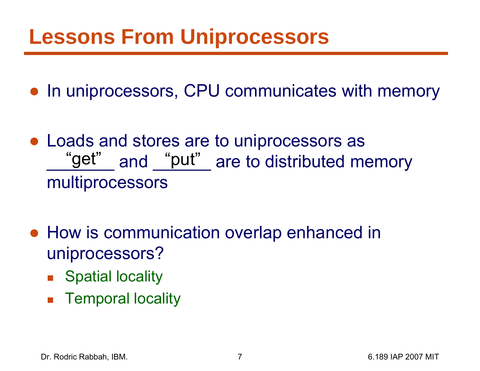## **Lessons From Uniprocessors**

- In uniprocessors, CPU communicates with memory
- Loads and stores are to uniprocessors as "get" and "put" are to distributed memory multiprocessors
- How is communication overlap enhanced in uniprocessors?
	- Spatial locality
	- $\mathcal{L}_{\mathcal{A}}$ Temporal locality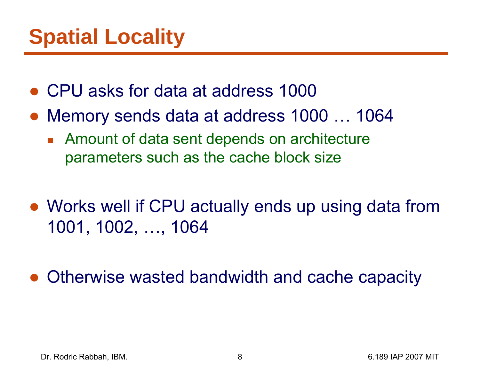- CPU asks for data at address 1000
- Memory sends data at address 1000 ... 1064
	- **Amount of data sent depends on architecture** parameters such as the cache block size
- Works well if CPU actually ends up using data from 1001, 1002, …, 1064

●Otherwise wasted bandwidth and cache capacity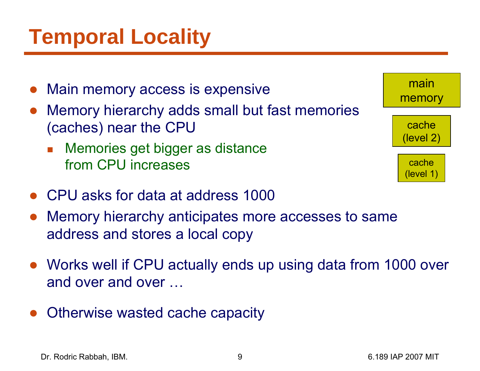# **Temporal Locality**

- $\bullet$ Main memory access is expensive
- ● Memory hierarchy adds small but fast memories (caches) near the CPU
	- F. Memories get bigger as distance from CPU increases
- CPU asks for data at address 1000
- ● Memory hierarchy anticipates more accesses to same address and stores a local copy
- Works well if CPU actually ends up using data from 1000 over and over and over …
- $\bullet$ Otherwise wasted cache capacity

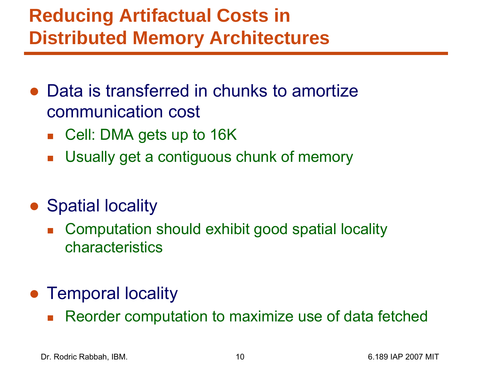## **Reducing Artifactual Costs in Distributed Memory Architectures**

- Data is transferred in chunks to amortize communication cost
	- Cell: DMA gets up to 16K
	- $\mathcal{L}_{\mathcal{A}}$ Usually get a contiguous chunk of memory
- Spatial locality
	- $\overline{\mathcal{A}}$  Computation should exhibit good spatial locality characteristics
- Temporal locality
	- $\mathcal{L}_{\mathcal{A}}$ Reorder computation to maximize use of data fetched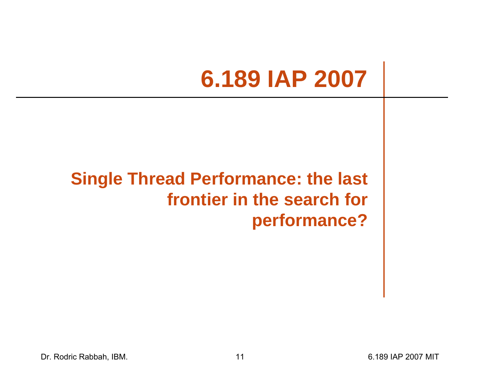# **6.189 IAP 2007**

#### **Single Thread Performance: the last frontier in the search for performance?**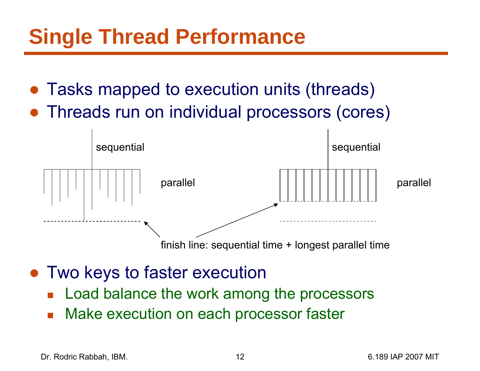# **Single Thread Performance**

- ●Tasks mapped to execution units (threads)
- Threads run on individual processors (cores)



- ● Two keys to faster execution
	- $\overline{\mathbb{R}}$ Load balance the work among the processors
	- $\overline{\mathbb{R}}$ Make execution on each processor faster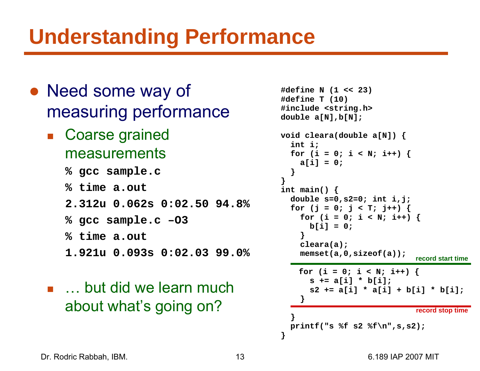# **Understanding Performance**

- Need some way of measuring performance
	- Coarse grained measurements
		- **% gcc sample.c**
		- **% time a.out**
		- **2.312u 0.062s 0:02.50 94.8%**
		- **% gcc sample.c –O3**
		- **% time a.out**
		- **1.921u 0.093s 0:02.03 99.0%**
	- … but did we learn much about what's going on?

```
#define N (1 << 23)
#define T (10)
#include <string.h>
double a[N],b[N];
void cleara(double a[N]) {
  int i;
  for (i = 0; i < N; i++)a[i] = 0; 
  }
int main() {
  double s=0,s2=0; int i,j;
  for (j = 0; j < T; j++) {
    for (i = 0; i < N; i++) {
      b[i] = 0; 
    }
    cleara(a);
    memset(a,0,sizeof(a));
   for (i = 0; i < N; i++)s += a[i] * b[i];
      s2 += a[i] * a[i] + b[i] * b[i];
    }
  }
  printf("s %f s2 %f\n",s,s2);
                             record stop time
                             record start time
```
**}**

**}**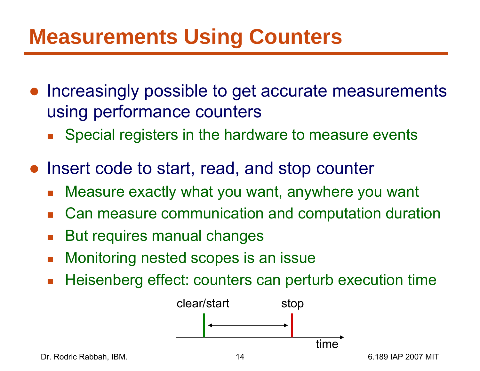# **Measurements Using Counters**

- ● Increasingly possible to get accurate measurements using performance counters
	- $\overline{\mathbb{R}}$ Special registers in the hardware to measure events
- Insert code to start, read, and stop counter
	- $\overline{\mathbb{R}}$ Measure exactly what you want, anywhere you want
	- $\mathcal{L}_{\mathcal{A}}$ Can measure communication and computation duration
	- b. But requires manual changes
	- $\mathcal{L}_{\mathcal{A}}$ Monitoring nested scopes is an issue
	- $\overline{\mathcal{A}}$ Heisenberg effect: counters can perturb execution time



Dr. Rodric Rabbah, IBM. 14 6.189 IAP 2007 MIT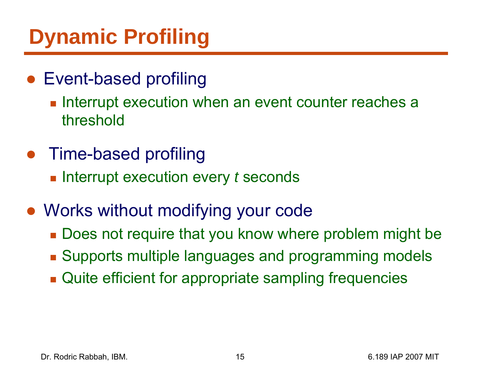# **Dynamic Profiling**

- Event-based profiling
	- $\blacksquare$  Interrupt execution when an event counter reaches a threshold
- Time-based profiling
	- $\blacksquare$  Interrupt execution every  $t$  seconds
- Works without modifying your code
	- Does not require that you know where problem might be
	- **Bupports multiple languages and programming models**
	- **Quite efficient for appropriate sampling frequencies**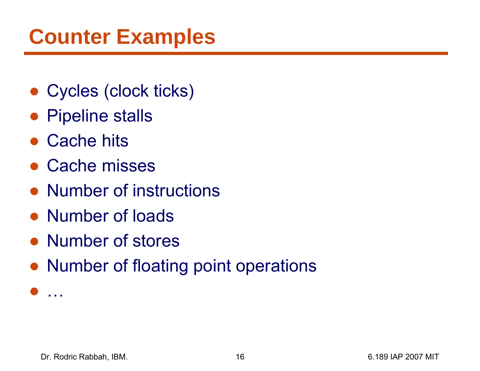# **Counter Examples**

- Cycles (clock ticks)
- Pipeline stalls
- Cache hits
- Cache misses
- Number of instructions
- Number of loads
- Number of stores
- Number of floating point operations

●.<br>. . .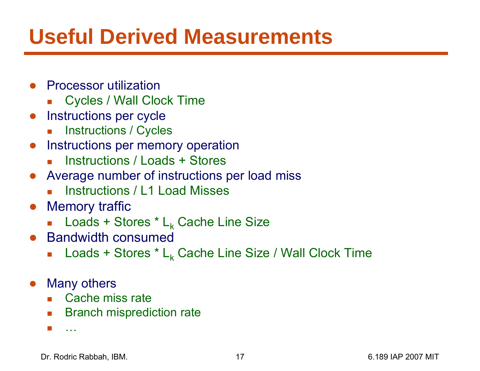# **Useful Derived Measurements**

- ● Processor utilization
	- $\mathcal{L}_{\mathcal{A}}$ Cycles / Wall Clock Time
- $\bullet$  Instructions per cycle
	- $\mathcal{L}_{\mathcal{A}}$ Instructions / Cycles
- **•** Instructions per memory operation
	- Г Instructions / Loads + Stores
- Average number of instructions per load miss
	- Г Instructions / L1 Load Misses
- Memory traffic
	- $\blacksquare$  Loads + Stores \*  $\mathsf{L}_{\mathsf{k}}$  Cache Line Size
- Bandwidth consumed
	- $\overline{\mathcal{A}}$ ■ Loads + Stores \* L<sub>k</sub> Cache Line Size / Wall Clock Time
- $\bullet$  Many others
	- Cache miss rate
	- **Branch misprediction rate**
	- Г …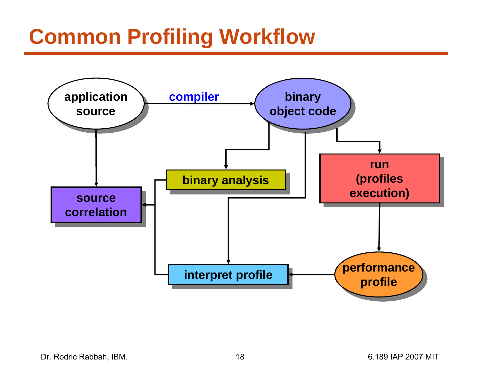# **Common Profiling Workflow**

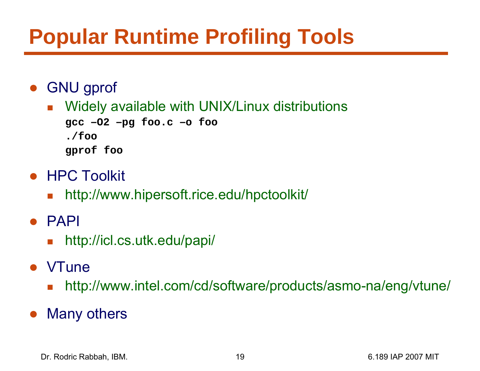# **Popular Runtime Profiling Tools**

- ● GNU gprof
	- **Number 10 Aug 20 available with UNIX/Linux distributions**

```
gcc 
–O2 
–pg foo.c 
–o foo
./foo
gprof foo
```
- HPC Toolkit
	- $\mathcal{L}_{\mathcal{A}}$ http://www.hipersoft.rice.edu/hpctoolkit/
- ● PAPI
	- $\mathcal{L}_{\mathcal{A}}$ http://icl.cs.utk.edu/papi/
- ●**VTune** 
	- F http://www.intel.com/cd/software/products/asmo-na/eng/vtune/
- ●Many others

Dr. Rodric Rabbah, IBM. 19 6.189 IAP 2007 MIT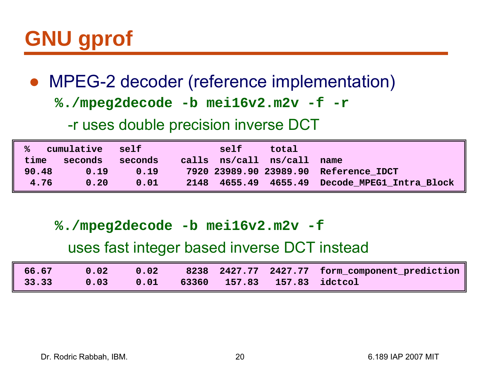# **GNU gprof**

● MPEG-2 decoder (reference implementation)

**%./mpeg2decode -b mei16v2.m2v -f -r**

-r uses double precision inverse DCT

| cumulative |         | self    | self | total                     |                                               |
|------------|---------|---------|------|---------------------------|-----------------------------------------------|
| time       | seconds | seconds |      | calls $ns/call$ $ns/call$ | name                                          |
| 90.48      | 0.19    | 0.19    |      |                           | 7920 23989.90 23989.90 Reference IDCT         |
| 4.76       | 0.20    | 0.01    |      |                           | 2148 4655.49 4655.49 Decode MPEG1 Intra Block |

**%./mpeg2decode -b mei16v2.m2v -f**

#### uses fast integer based inverse DCT instead

| $\parallel$ 66.67 | $\begin{array}{ c c c }\n\hline\n0.02\n\end{array}$ |  |                                  | 8238 2427.77 2427.77 form component prediction |
|-------------------|-----------------------------------------------------|--|----------------------------------|------------------------------------------------|
| $\parallel$ 33.33 | 0.03                                                |  | 0.01 63360 157.83 157.83 idctcol |                                                |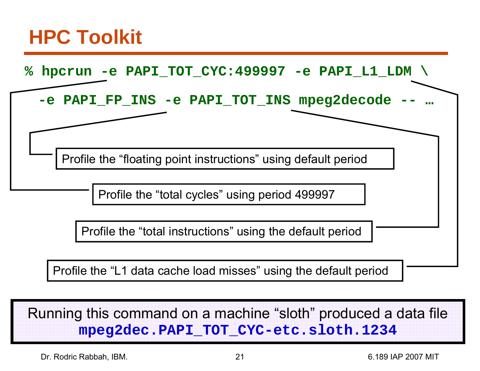## **HPC Toolkit**



Running this command on a machine "sloth" produced a data file **mpeg2dec.PAPI\_TOT\_CYC-etc.sloth.1234**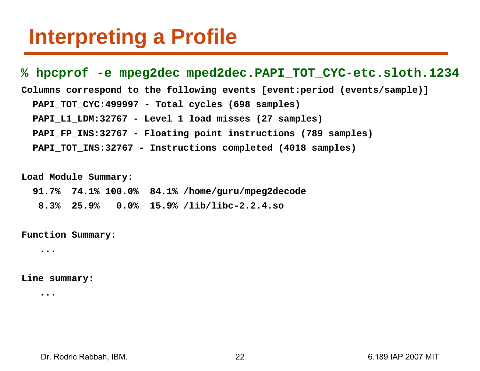## **Interpreting a Profile**

#### **% hpcprof -e mpeg2dec mped2dec.PAPI\_TOT\_CYC-etc.sloth.1234**

**Columns correspond to the following events [event:period (events/sample)]**

**PAPI\_TOT\_CYC:499997 - Total cycles (698 samples)**

**PAPI\_L1\_LDM:32767 - Level 1 load misses (27 samples)**

**PAPI\_FP\_INS:32767 - Floating point instructions (789 samples)**

**PAPI\_TOT\_INS:32767 - Instructions completed (4018 samples)**

**Load Module Summary:**

**91.7% 74.1% 100.0% 84.1% /home/guru/mpeg2decode**

**8.3% 25.9% 0.0% 15.9% /lib/libc-2.2.4.so**

**Function Summary:**

**...**

**Line summary:**

**...**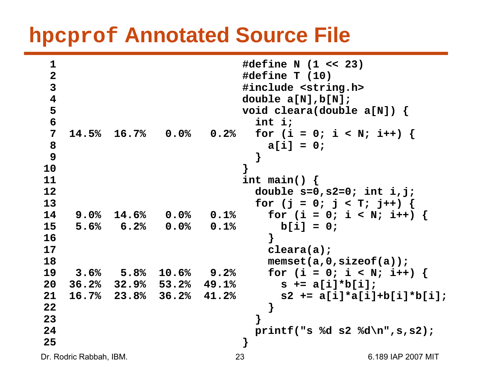### **hpcprof Annotated Source File**

```
Dr. Rodric Rabbah, IBM. 23 6.189 IAP 2007 MIT
1 #define N (1 << 23)
2 #define T (10)
3 #include <string.h>
4 double a[N],b[N];
5 void cleara(double a[N]) {
6 int i;
7 14.5% 16.7% 0.0% 0.2% for (i = 0; i < N; i++) { 
8 a[i] = 0; 
9 }
10 }
11 int main() {
12 double s=0,s2=0; int i,j;
13 for (j = 0; j < T; j++)14 9.0% 14.6% 0.0% 0.1% for (i = 0; i < N; i++) {
15 5.6% 6.2% 0.0% 0.1% b[i] = 0; 
16 }
17 cleara(a);
18 memset(a,0,sizeof(a));
19 3.6% 5.8% 10.6% 9.2% for (i = 0; i < N; i++) {
20 36.2% 32.9% 53.2% 49.1% s += a[i]*b[i];
21 16.7% 23.8% 36.2% 41.2% s2 += a[i]*a[i]+b[i]*b[i];
22 }
23 }
24 printf("s %d s2 %d\n",s,s2);
25 }
```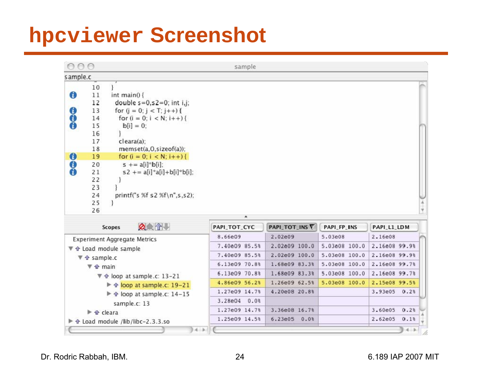## **hpcviewer Screenshot**

| 000                         |                                              |                                                                                     | sample                        |                  |               |                 |
|-----------------------------|----------------------------------------------|-------------------------------------------------------------------------------------|-------------------------------|------------------|---------------|-----------------|
| s ample.c                   |                                              |                                                                                     |                               |                  |               |                 |
| $\bullet$                   | 10<br>11<br>12                               | int main() {<br>double $s=0$ , $s=0$ ; int i,j;                                     |                               |                  |               |                 |
| $\bf{6}$                    | 13<br>14                                     | for $(j = 0; j < T; j++)$ {<br>for $(i = 0; i < N; i++)$ {                          |                               |                  |               |                 |
|                             | 15<br>16<br>17<br>18                         | $b[i] = 0$ :<br>cleara(a);<br>memset(a,0,sizeof(a));                                |                               |                  |               |                 |
| $\boldsymbol{\omega}$       | 19                                           | for $(i = 0; i < N; i++)$ {                                                         |                               |                  |               |                 |
| $\bf{6}$                    | 20<br>21<br>22<br>23<br>24<br>25<br>26       | $s$ += a[i]*b[i];<br>$s2$ += $a[i]*a[i]+b[i]*b[i];$<br>printf("s %f s2 %f\n",s,s2); |                               |                  |               |                 |
|                             |                                              |                                                                                     | A.                            |                  |               |                 |
|                             |                                              | <b>ACRY</b><br>Scopes                                                               | PAPI_TOT_CYC                  | PAPI_TOT_INS     | PAPI_FP_INS   | PAPI_L1_LDM     |
|                             |                                              | <b>Experiment Aggregate Metrics</b>                                                 | 8.66e09                       | 2.02e09          | 5.03e08       | 2.16e08         |
|                             |                                              | ▼ 企 Load module sample                                                              | 7.40e09 85.5%                 | 2.02e09 100.0    | 5.03e08 100.0 | 2.16e08 99.9%   |
|                             | $\blacktriangledown$ 4 sample.c              |                                                                                     | 7.40e09 85.5%                 | 2.02e09 100.0    | 5.03e08 100.0 | 2.16e08 99.9%   |
|                             | $\blacktriangledown$ $\hat{\mathbf{u}}$ main |                                                                                     | 6.13e09 70.8%                 | 1.68e09 83.3%    | 5.03e08 100.0 | 2.16e08 99.7%   |
|                             |                                              | V � loop at sample.c: 13-21                                                         | 6.13e09 70.8%                 | 1.68e09 83.3%    | 5.03e08 100.0 | 2.16e08 99.7%   |
| → ↑ loop at sample.c: 19-21 |                                              | 4.86e09 56.2%                                                                       | 1.26e09 62.5%                 | 5.03e08 100.0    | 2.15e08 99.5% |                 |
|                             |                                              |                                                                                     |                               |                  |               |                 |
|                             |                                              | → ↑ loop at sample.c: 14-15                                                         | 1.27e09 14.7%<br>3.28e04 0.0% | 4.20e08 20.8%    |               | 3.93e05 0.2%    |
|                             | ▶ ← cleara                                   | sample.c: 13                                                                        | 1.27e09 14.7%                 | 3.36e08 16.7%    |               | 3.60e05<br>0.23 |
|                             |                                              | ▶ �� Load module /lib/libc-2.3.3.so                                                 | 1.25e09 14.5%                 | $6.23e05$ $0.08$ |               | 2.62e05<br>0.13 |

Dr. Rodric Rabbah, IBM. 24 6.189 IAP 2007 MIT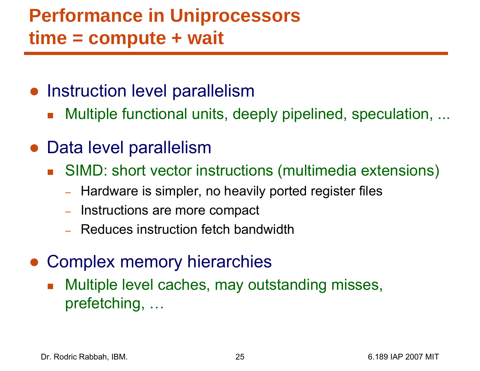### **Performance in Uniprocessors time = compute + wait**

- Instruction level parallelism
	- $\overline{\mathbb{R}}$ Multiple functional units, deeply pipelined, speculation, ...
- Data level parallelism
	- SIMD: short vector instructions (multimedia extensions)
		- –Hardware is simpler, no heavily ported register files
		- Instructions are more compact
		- Reduces instruction fetch bandwidth
- Complex memory hierarchies
	- Multiple level caches, may outstanding misses, prefetching, …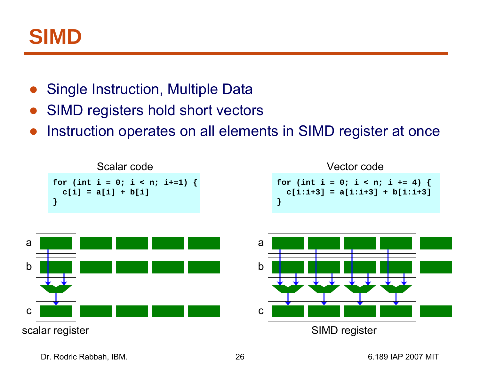

- $\bullet$ Single Instruction, Multiple Data
- ●SIMD registers hold short vectors
- ●Instruction operates on all elements in SIMD register at once





$$
\begin{array}{l}\n\text{for (int i = 0; i < n; i += 4) } \\
\text{c[i:i+3] = a[i:i+3] + b[i:i+3]} \\
\end{array}
$$



Dr. Rodric Rabbah, IBM. 26 6.189 IAP 2007 MIT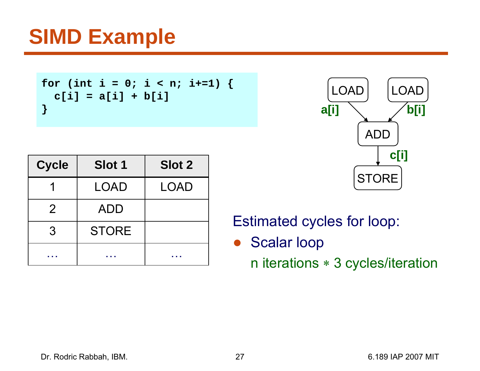# **SIMD Example**

```
for (int i = 0; i < n; i+=1) {
  c[i] = a[i] + b[i]
}
```

| <b>Cycle</b>   | <b>Slot 1</b> | <b>Slot 2</b> |
|----------------|---------------|---------------|
|                | LOAD          | LOAD          |
| $\overline{2}$ | <b>ADD</b>    |               |
| 3              | <b>STORE</b>  |               |
|                |               |               |



Estimated cycles for loop:

● Scalar loop

n iterations ∗ 3 cycles/iteration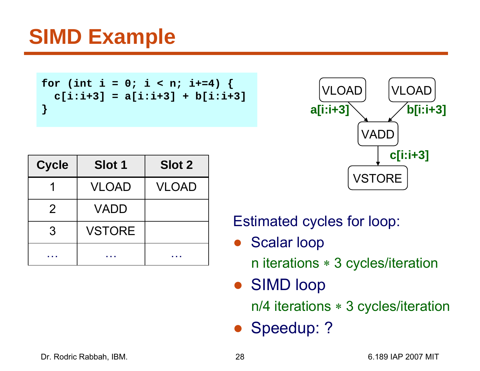# **SIMD Example**

```
for (int i = 0; i < n; i+=4) {
  c[i:i+3] = a[i:i+3] + b[i:i+3]
}
```

| <b>Cycle</b> | <b>Slot 1</b> | <b>Slot 2</b> |
|--------------|---------------|---------------|
|              | <b>VLOAD</b>  | <b>VLOAD</b>  |
| 2            | VADD          |               |
| 3            | <b>VSTORE</b> |               |
|              |               |               |



Estimated cycles for loop:

 $\bullet$ Scalar loop

n iterations ∗ 3 cycles/iteration

● SIMD loop

n/4 iterations ∗ 3 cycles/iteration

● Speedup: ?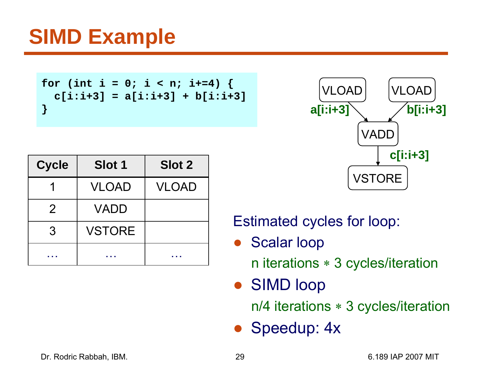# **SIMD Example**

```
for (int i = 0; i < n; i+=4) {
  c[i:i+3] = a[i:i+3] + b[i:i+3]
}
```

| <b>Cycle</b> | <b>Slot 1</b> | <b>Slot 2</b> |
|--------------|---------------|---------------|
|              | <b>VLOAD</b>  | <b>VLOAD</b>  |
| 2            | VADD          |               |
| 3            | <b>VSTORE</b> |               |
|              |               |               |



Estimated cycles for loop:

 $\bullet$ Scalar loop

n iterations ∗ 3 cycles/iteration

● SIMD loop

n/4 iterations ∗ 3 cycles/iteration

● Speedup: 4x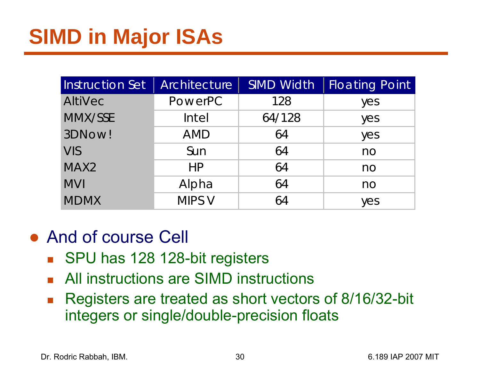| Instruction Set  | Architecture   | <b>SIMD Width</b> | <b>Floating Point</b> |
|------------------|----------------|-------------------|-----------------------|
| <b>AltiVec</b>   | <b>PowerPC</b> | 128               | yes                   |
| MMX/SSE          | Intel          | 64/128            | yes                   |
| 3DNow!           | <b>AMD</b>     | 64                | yes                   |
| <b>VIS</b>       | Sun            | 64                | n <sub>O</sub>        |
| MAX <sub>2</sub> | HP             | 64                | no                    |
| <b>MVI</b>       | Alpha          | 64                | no                    |
| <b>MDMX</b>      | MIPS V         | 64                | yes                   |

#### ● And of course Cell

- SPU has 128 128-bit registers
- **All instructions are SIMD instructions**
- $\mathcal{L}_{\mathcal{A}}$  Registers are treated as short vectors of 8/16/32-bit integers or single/double-precision floats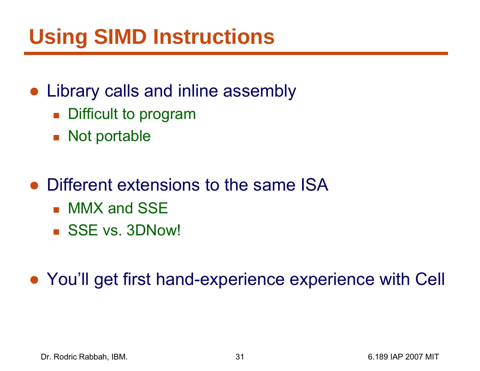# **Using SIMD Instructions**

#### • Library calls and inline assembly

- **Difficult to program**
- Not portable
- Different extensions to the same ISA
	- MMX and SSE
	- SSE vs. 3DNow!

● You'll get first hand-experience experience with Cell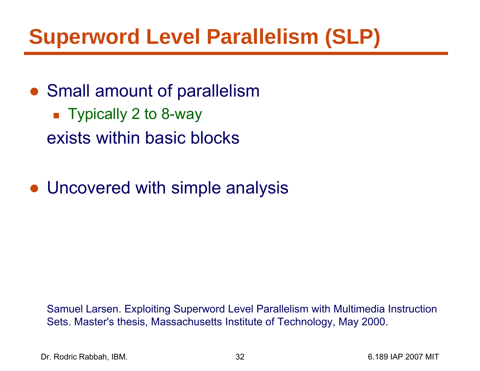# **Superword Level Parallelism (SLP)**

- Small amount of parallelism
	- Typically 2 to 8-way exists within basic blocks
- Uncovered with simple analysis

Samuel Larsen. Exploiting Superword Level Parallelism with Multimedia Instruction Sets. Master's thesis, Massachusetts Institute of Technology, May 2000.

Dr. Rodric Rabbah, IBM. 32 6.189 IAP 2007 MIT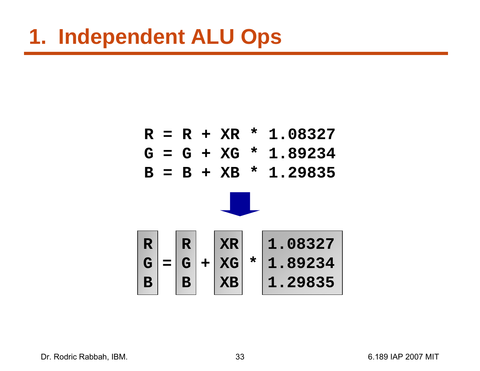



Dr. Rodric Rabbah, IBM. 6.189 IAP 2007 MIT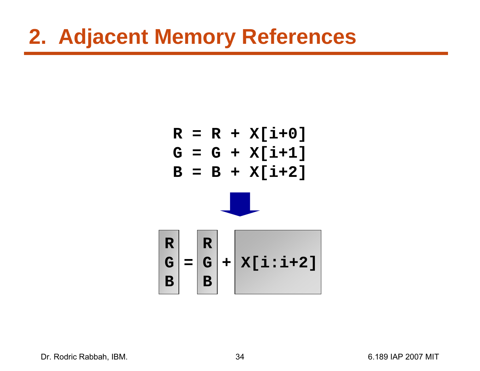## **2. Adjacent Memory References**





Dr. Rodric Rabbah, IBM. (2007) 34 6.189 IAP 2007 MIT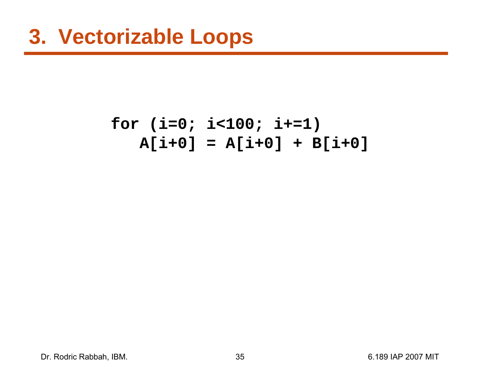#### **for (i=0; i<100; i+=1) A[i+0] = A[i+0] + B[i+0]**

Dr. Rodric Rabbah, IBM. 35 6.189 IAP 2007 MIT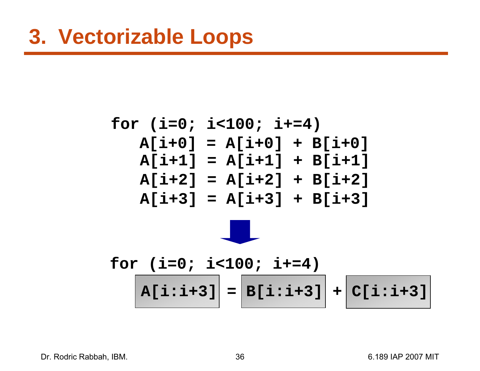$$
for (i=0; i<100; i+=4)
$$
  
\n
$$
A[i+0] = A[i+0] + B[i+0]
$$
  
\n
$$
A[i+1] = A[i+1] + B[i+1]
$$
  
\n
$$
A[i+2] = A[i+2] + B[i+2]
$$
  
\n
$$
A[i+3] = A[i+3] + B[i+3]
$$



$$
for (i=0; i<100; i+=4)
$$
  

$$
A[i:i+3] = B[i:i+3] + C[i:i+3]
$$

Dr. Rodric Rabbah, IBM. 6.189 IAP 2007 MIT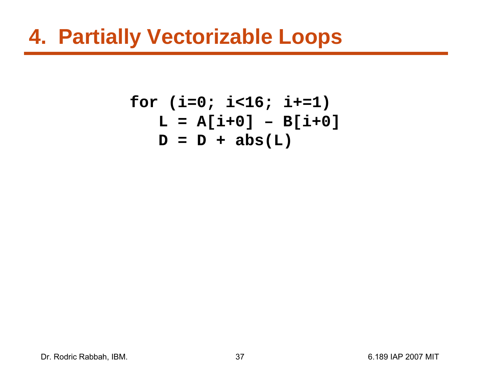## **4. Partially Vectorizable Loops**

**for (i=0; i<16; i+=1) L = A[i+0] – B[i+0] D = D + abs(L)**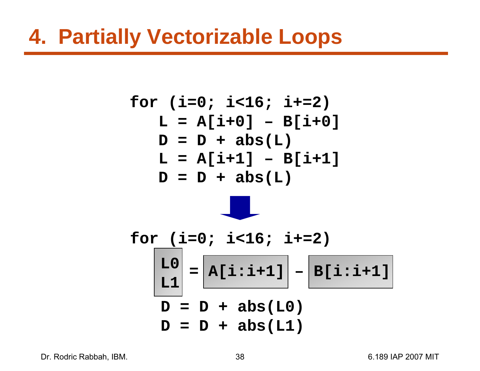## **4. Partially Vectorizable Loops**

$$
for (i=0; i<16; i+=2)
$$
  
\n
$$
L = A[i+0] - B[i+0]
$$
  
\n
$$
D = D + abs(L)
$$
  
\n
$$
L = A[i+1] - B[i+1]
$$
  
\n
$$
D = D + abs(L)
$$

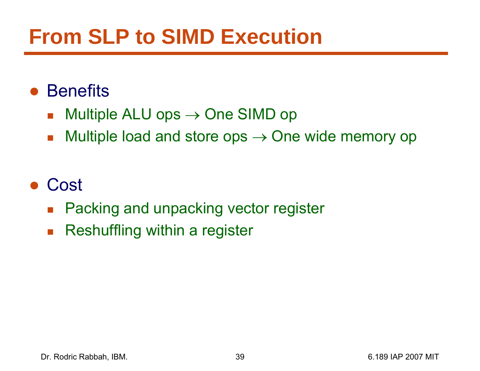# **From SLP to SIMD Execution**

#### ● Benefits

- $\mathcal{L}_{\mathcal{A}}$  $\blacksquare$  Multiple ALU ops  $\rightarrow$  One SIMD op
- $\mathcal{L}_{\mathcal{A}}$  $\blacksquare$  Multiple load and store ops  $\rightarrow$  One wide memory op

#### ●Cost

- $\mathcal{L}_{\mathcal{A}}$ Packing and unpacking vector register
- $\overline{\mathbb{R}^n}$ Reshuffling within a register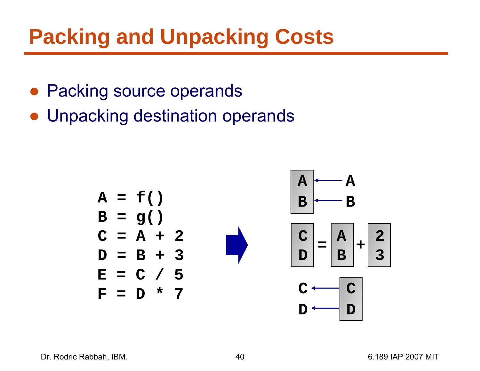# **Packing and Unpacking Costs**

- Packing source operands
- Unpacking destination operands

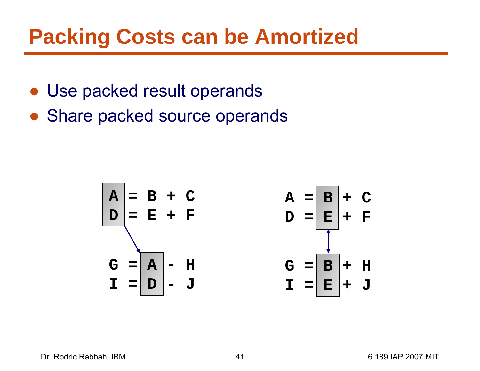## **Packing Costs can be Amortized**

- Use packed result operands
- Share packed source operands

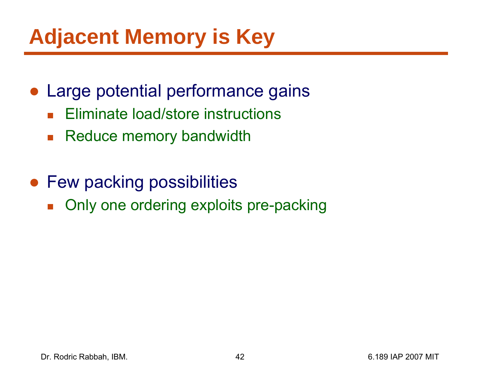# **Adjacent Memory is Key**

- Large potential performance gains
	- $\overline{\mathbb{R}}$ Eliminate load/store instructions
	- $\mathcal{L}_{\mathcal{A}}$ Reduce memory bandwidth
- Few packing possibilities
	- $\mathcal{L}_{\mathcal{A}}$ Only one ordering exploits pre-packing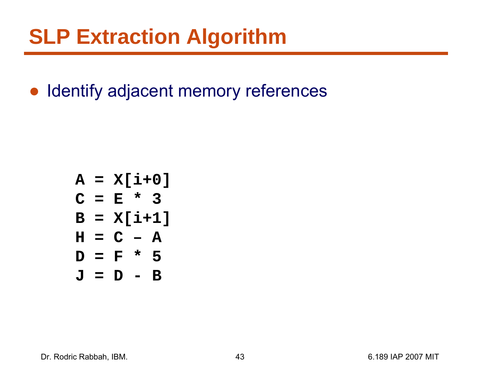● Identify adjacent memory references

$$
A = X[i+0]
$$
  
\n
$$
C = E * 3
$$
  
\n
$$
B = X[i+1]
$$
  
\n
$$
H = C - A
$$
  
\n
$$
D = F * 5
$$
  
\n
$$
J = D - B
$$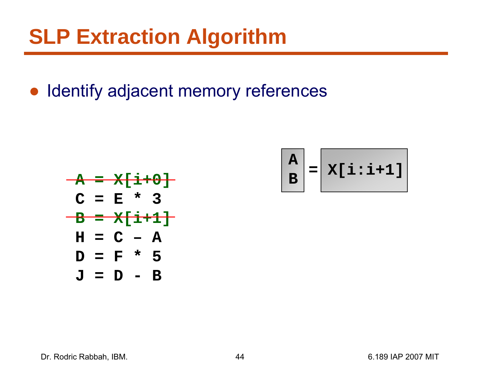● Identify adjacent memory references



$$
\begin{bmatrix} A \\ B \end{bmatrix} = \begin{bmatrix} x[i:i+1] \\ x[i+1] \end{bmatrix}
$$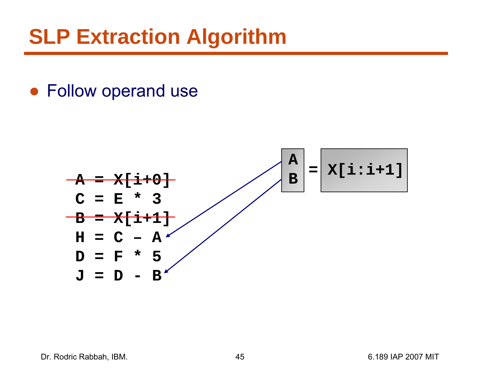● Follow operand use

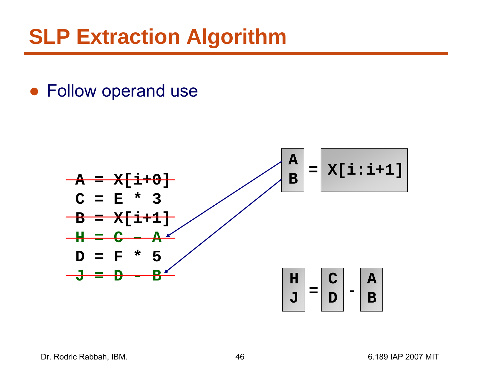● Follow operand use



Dr. Rodric Rabbah, IBM. (a) 1898 1892 1898 1892 1898 1892 1898 1894 1898 1894 1898 1894 1898 1894 1898 1899 18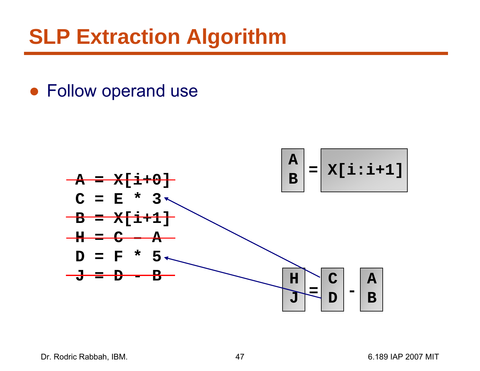● Follow operand use

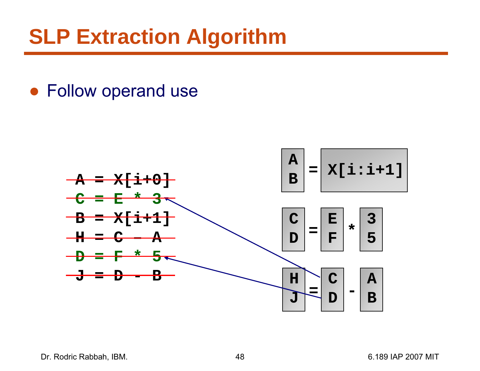#### ● Follow operand use

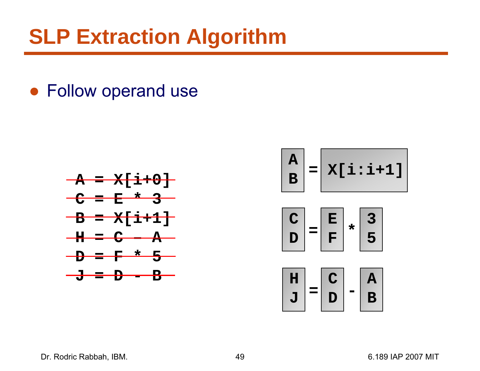● Follow operand use





#### Dr. Rodric Rabbah, IBM. (a) 49 and 49 6.189 IAP 2007 MIT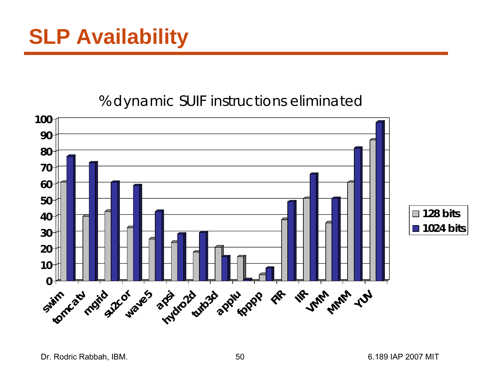#### % dynamic SUIF instructions eliminated

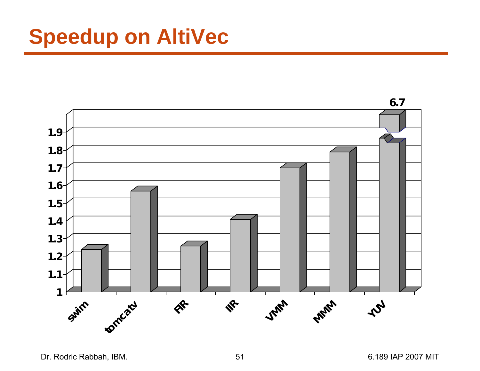# **Speedup on AltiVec**



Dr. Rodric Rabbah, IBM. 6.189 IAP 2007 MIT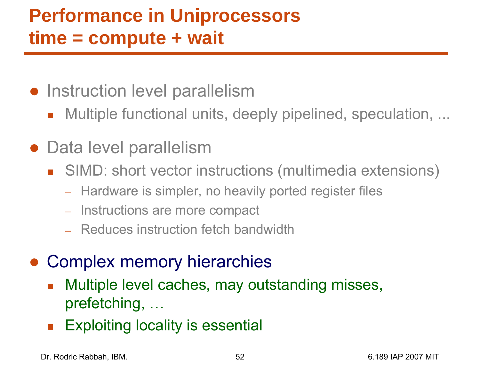## **Performance in Uniprocessors time = compute + wait**

- Instruction level parallelism
	- $\overline{\mathbb{R}}$ Multiple functional units, deeply pipelined, speculation, ...
- Data level parallelism
	- SIMD: short vector instructions (multimedia extensions)
		- –– Hardware is simpler, no heavily ported register files
		- Instructions are more compact
		- Reduces instruction fetch bandwidth
- Complex memory hierarchies
	- $\overline{\mathbb{R}}$  Multiple level caches, may outstanding misses, prefetching, …
	- $\overline{\mathbb{R}}$ Exploiting locality is essential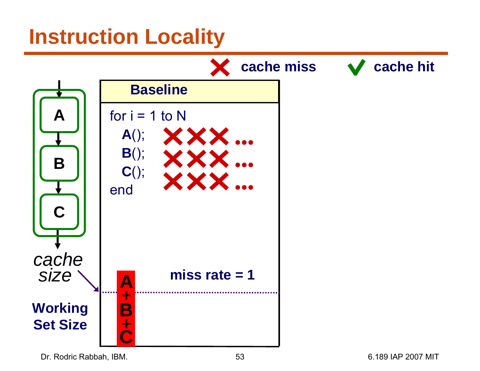## **Instruction Locality**



Dr. Rodric Rabbah, IBM. 6.189 IAP 2007 MIT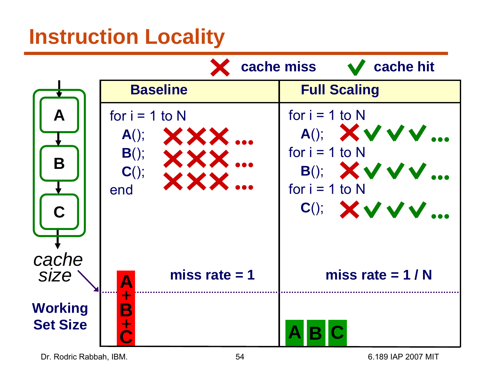## **Instruction Locality**



Dr. Rodric Rabbah, IBM. 6.189 IAP 2007 MIT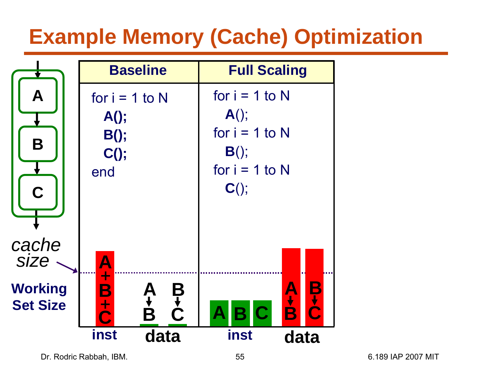# **Example Memory (Cache) Optimization**

|                                   |                                                          | <b>Baseline</b>            | <b>Full Scaling</b>                                                                       |                |
|-----------------------------------|----------------------------------------------------------|----------------------------|-------------------------------------------------------------------------------------------|----------------|
| A<br>B<br>$\overline{\mathbf{C}}$ | for $i = 1$ to N<br>$A()$ ;<br>$B()$ ;<br>$C()$ ;<br>end |                            | for $i = 1$ to N<br>$A()$ ;<br>for $i = 1$ to N<br>$B()$ ;<br>for $i = 1$ to N<br>$C()$ ; |                |
| cache<br><b>SIZE</b>              | $\frac{A}{1}$                                            |                            |                                                                                           |                |
| <b>Working</b><br><b>Set Size</b> | B<br>$\overline{\overline{\overline{C}}}$                | B<br>C<br>C<br>A<br>B<br>B | AB.<br>$\overline{\mathbf{C}}$                                                            | B+C<br>A+<br>B |
|                                   | inst                                                     | data                       | inst                                                                                      | data           |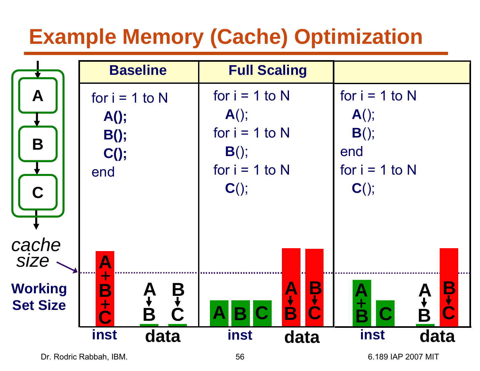# **Example Memory (Cache) Optimization**

|                                   |                                                          | <b>Baseline</b> |   |                                                                                           | <b>Full Scaling</b> |             |                                                                              |      |
|-----------------------------------|----------------------------------------------------------|-----------------|---|-------------------------------------------------------------------------------------------|---------------------|-------------|------------------------------------------------------------------------------|------|
| A<br>B<br>Ć                       | for $i = 1$ to N<br>$A()$ ;<br>$B()$ ;<br>$C()$ ;<br>end |                 |   | for $i = 1$ to N<br>$A()$ ;<br>for $i = 1$ to N<br>$B()$ ;<br>for $i = 1$ to N<br>$C()$ ; |                     |             | for $i = 1$ to N<br>$A()$ ;<br>$B()$ ;<br>end<br>for $i = 1$ to N<br>$C()$ ; |      |
| cache<br><b>SIZE</b>              | $\blacktriangle$<br>┿                                    |                 |   |                                                                                           |                     |             |                                                                              |      |
| <b>Working</b><br><b>Set Size</b> | $\mathbf B$<br>$\div$                                    | A<br>B<br>B     | B |                                                                                           |                     | B<br>C<br>C | A<br>±<br>R                                                                  |      |
|                                   | inst                                                     | data            |   | inst                                                                                      | data                |             | inst                                                                         | data |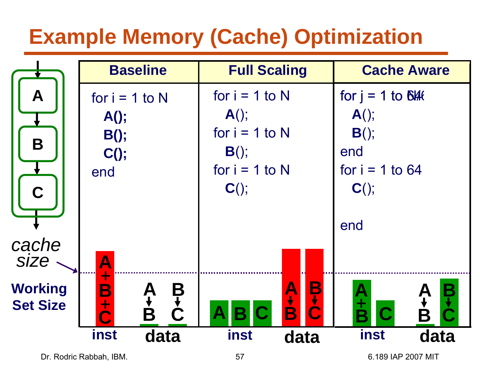# **Example Memory (Cache) Optimization**

|                 |                         | <b>Baseline</b> |               |                  | <b>Full Scaling</b> |          |                     | <b>Cache Aware</b> |      |  |
|-----------------|-------------------------|-----------------|---------------|------------------|---------------------|----------|---------------------|--------------------|------|--|
| A               | for $i = 1$ to N        |                 |               | for $i = 1$ to N |                     |          | for $j = 1$ to Blft |                    |      |  |
|                 | $A()$ ;                 |                 |               | $A()$ ;          |                     |          | $A()$ ;             |                    |      |  |
| B               | $B()$ ;                 |                 |               | for $i = 1$ to N |                     |          | $B()$ ;             |                    |      |  |
|                 | $C()$ ;                 |                 |               | $B()$ ;          |                     |          | end                 |                    |      |  |
|                 | end                     |                 |               | for $i = 1$ to N |                     |          | for $i = 1$ to 64   |                    |      |  |
| $\overline{C}$  |                         |                 |               | $C()$ ;          |                     |          | $C()$ ;             |                    |      |  |
|                 |                         |                 |               |                  |                     |          | end                 |                    |      |  |
| cache           |                         |                 |               |                  |                     |          |                     |                    |      |  |
| <b>SIZE</b>     | $\overline{\mathsf{A}}$ |                 |               |                  |                     |          |                     |                    |      |  |
| <b>Working</b>  | ┿<br>B                  |                 |               |                  | A<br>+              | <b>B</b> |                     |                    |      |  |
| <b>Set Size</b> | $\div$<br><b>O</b>      | A+<br>B         | $\frac{1}{2}$ | B                | C                   |          | A<br>±<br>R         | C                  | B    |  |
|                 | inst                    | data            |               | inst             |                     | data     | inst                |                    | data |  |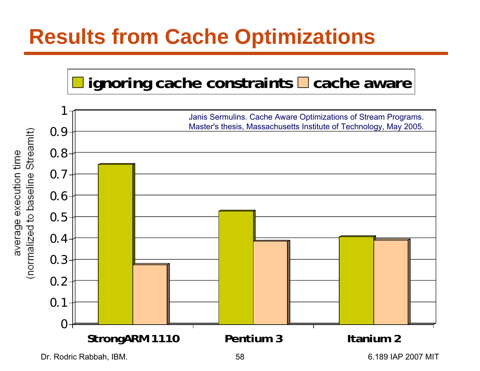# **Results from Cache Optimizations**





Dr. Rodric Rabbah, IBM. 6.189 IAP 2007 MIT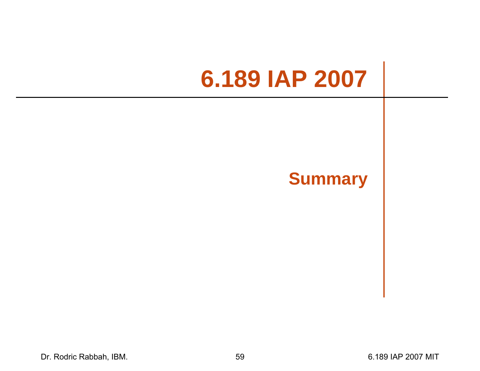# **6.189 IAP 2007**

#### **Summary**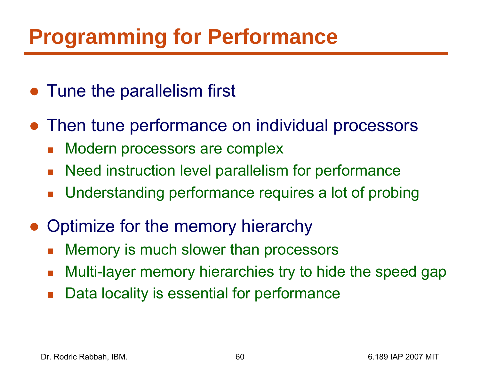# **Programming for Performance**

- Tune the parallelism first
- Then tune performance on individual processors
	- $\mathcal{L}_{\mathcal{A}}$ Modern processors are complex
	- $\mathcal{L}_{\mathcal{A}}$ Need instruction level parallelism for performance
	- $\mathcal{L}_{\mathcal{A}}$ Understanding performance requires a lot of probing
- ● Optimize for the memory hierarchy
	- $\mathcal{L}_{\mathcal{A}}$ Memory is much slower than processors
	- $\mathcal{L}_{\mathcal{A}}$ Multi-layer memory hierarchies try to hide the speed gap
	- $\mathcal{L}_{\mathcal{A}}$ Data locality is essential for performance